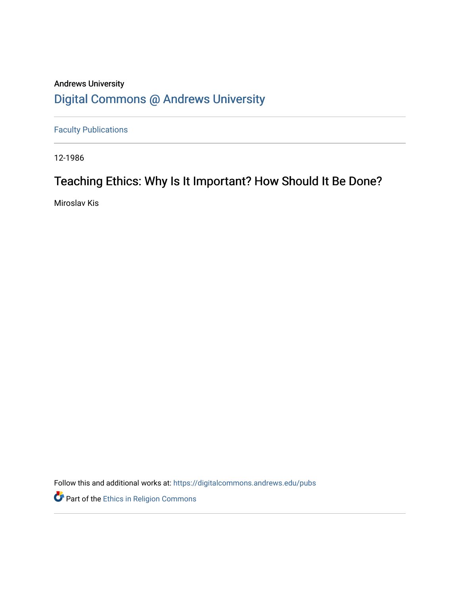## Andrews University [Digital Commons @ Andrews University](https://digitalcommons.andrews.edu/)

[Faculty Publications](https://digitalcommons.andrews.edu/pubs)

12-1986

## Teaching Ethics: Why Is It Important? How Should It Be Done?

Miroslav Kis

Follow this and additional works at: [https://digitalcommons.andrews.edu/pubs](https://digitalcommons.andrews.edu/pubs?utm_source=digitalcommons.andrews.edu%2Fpubs%2F3650&utm_medium=PDF&utm_campaign=PDFCoverPages) 

Part of the [Ethics in Religion Commons](http://network.bepress.com/hgg/discipline/541?utm_source=digitalcommons.andrews.edu%2Fpubs%2F3650&utm_medium=PDF&utm_campaign=PDFCoverPages)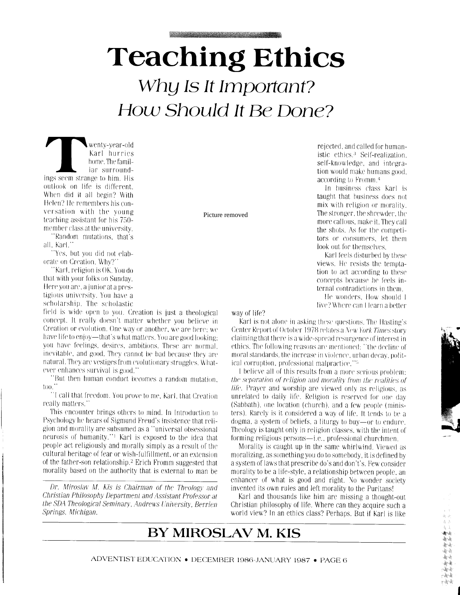# **Teaching Ethics** Why Is It Important? How Should It Be Done?

wenty-year-old Karl hurries home. The familiar surroundings seem strange to him. His outlook on life is different. When did it all begin? With Helen? He remembers his conversation with the young teaching assistant for his 750member class at the university.

"Random mutations, that's all. Karl.'

'Yes, but you did not elaborate on Creation. Why?'

"Karl, religion is OK. You do that with your folks on Sunday. Here you are, a junior at a prestigious university. You have a scholarship. The scholastic

field is wide open to you. Creation is just a theological concept. It really doesn't matter whether you believe in Creation or evolution. One way or another, we are here; we have life to enjoy—that's what matters. You are good looking: you have feelings, desires, ambitions. These are normal, inevitable, and good. They cannot be bad because they are natural. They are vestiges from evolutionary struggles. Whatever enhances survival is good."

"But then human conduct becomes a random mutation.  $\text{to}$ .

"I call that freedom. You prove to me, Karl, that Creation really matters.'

This encounter brings others to mind. In Introduction to Psychology he hears of Sigmund Freud's insistence that religion and morality are subsumed as a "universal obsessional neurosis of humanity."<sup>1</sup> Karl is exposed to the idea that people act religiously and morally simply as a result of the cultural heritage of fear or wish-fulfillment, or an extension of the father-son relationship.<sup>2</sup> Erich Fromm suggested that morality based on the authority that is external to man be

Dr. Miroslav M. Kis is Chairman of the Theology and Christian Philosophy Department and Assistant Professor at the SDA Theological Seminary, Andrews University, Berrien Springs, Michigan.

Picture removed

rejected, and called for humanistic ethics.<sup>3</sup> Self-realization self-knowledge, and integration would make humans good. according to Fromm.<sup>4</sup>

In business class Karl is taught that business does not mix with religion or morality. The stronger, the shrewder, the more callous, make it. They call the shots. As for the competitors or consumers, let them look out for themselves.

Karl feels disturbed by these views. He resists the temptation to act according to these concepts because he feels internal contradictions in them

He wonders. How should 1 live? Where can Hearn a better

way of life?

Karl is not alone in asking these questions. The Hasting's Center Report of October 1978 relates a New York Times story claiming that there is a wide-spread resurgence of interest in ethics. The following reasons are mentioned: "the decline of moral standards, the increase in violence, urban decay political corruption, professional malpractice."<sup>5</sup>

I believe all of this results from a more serious problem: the separation of religion and morality from the realities of *life*. Prayer and worship are viewed only as religious, as unrelated to daily life. Religion is reserved for one day (Sabbath), one location (church), and a few people (ministers). Rarely is it considered a way of life. It tends to be a dogma, a system of beliefs, a liturgy to buy—or to endure. Theology is taught only in religion classes, with the intent of forming religious persons-i.e., professional churchmen.

Morality is caught up in the same whirlwind. Viewed as moralizing, as something you do to somebody, it is defined by a system of laws that prescribe do's and don't's. Few consider morality to be a life-style, a relationship between people, an enhancer of what is good and right. No wonder society invented its own rules and left morality to the Puritans!

Karl and thousands like him are missing a thought-out Christian philosophy of life. Where can they acquire such a world view? In an ethics class? Perhaps. But if Karl is like

## BY MIROSLAV M. KIS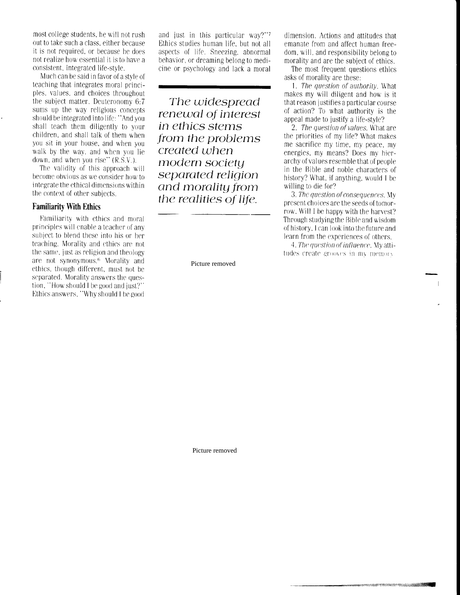most college students, he will not rush out to take such a class, either because it is not required, or because he does not realize how essential it is to have a consistent, integrated life-style

Much can be said in favor of a style of teaching that integrates moral principles, values, and choices throughout the subject matter. Deuteronomy 6:7 sums up the way religious concepts should be integrated into life: "And you shall teach them diligently to your children, and shall talk of them when you sit in your house, and when you walk by the way, and when you lie down, and when you rise"  $(R.S.V.)$ .

The validity of this approach will become obvious as we consider how to integrate the ethical dimensions within the context of other subjects.

### **Familiarity With Ethics**

Familiarity with ethics and moral principles will enable a teacher of any subject to blend these into his or her teaching. Morality and ethics are not the same, just as religion and theology are not synonymous.<sup>6</sup> Morality and ethics, though different, must not be separated. Morality answers the question. "How should I be good and just?" Ethics answers, "Why should I be good and just in this particular way?"7 Ethics studies human life, but not all aspects of life. Sneezing, abnormal behavior, or dreaming belong to medicine or psychology and lack a moral

The widespread renewal of interest in ethics stems from the problems created when modern societu separated religion and morality from the realities of life.

Picture removed

dimension. Actions and attitudes that emanate from and affect human freedom, will, and responsibility belong to morality and are the subject of ethics.

The most frequent questions ethics asks of morality are these.

1. The question of authority. What makes my will diligent and how is it that reason justifies a particular course of action? To what authority is the appeal made to justify a life-style?

2. The auestion of values. What are the priorities of my life? What makes me sacrifice my time, my peace, my energies, my means? Does my hierarchy of values resemble that of people in the Bible and noble characters of history? What, if anything, would I be willing to die for?

3. The question of consequences. My present choices are the seeds of tomorrow. Will I be happy with the harvest? Through studying the Bible and wisdom of history. I can look into the future and learn from the experiences of others.

4. The question of influence. My attitudes create grooves in my memory

Picture removed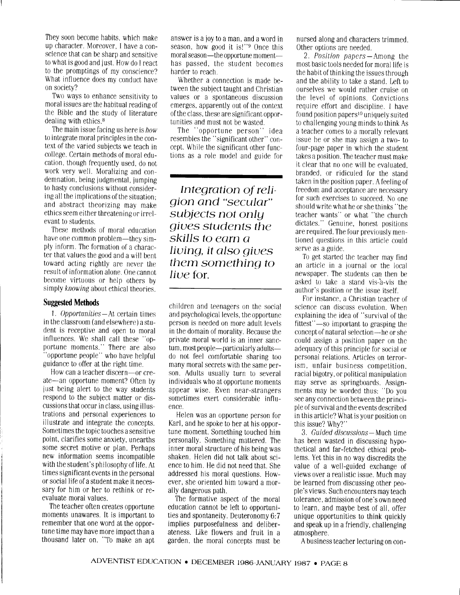They soon become habits, which make up character. Moreover, I have a conscience that can be sharp and sensitive to what is good and just. How do I react to the promptings of my conscience? What influence does my conduct have on society?

Two ways to enhance sensitivity to moral issues are the habitual readinp of the Bible and the study of literature dealing with ethics.<sup>8</sup>

The main issue facing us here is how to integrate moral principles in the context 0f the varied sublects we teach in college. Certain methods of moral education, though frequently used, do not work very well. Moralizing and condemnation, being iudgmental, iumping to hasty conclusions without considering all the implications of the situation: and abstract theorizing may make ethics seem either threatening or irrelevant to students.

These methods of moral education have one common problem—they simply inform. The formation of a character that values the good and a will bent toward acting rightly are ncver the result of information alone. One cannot become virtuous or help others by simply knowing about ethical theories.

#### **Suggested Methods**

1. Opportunities  $-$  At certain times in the classroom (and elsewhere) a student is receptive and open to moral influences. We shall call these "opport,une moments." There are also "opportune people" who have helpful guidance to offer at the right time.

How can a teacher discern-or create-an opportune moment? Often by just being alert to the way students respond to the subject matter or discussions that occur in class, using illustrations and personal experiences to illustrate and integrate the concepts. Sometimes the topic touches a sensitive point, clarifies some anxiety, unearths some secret motive or plan. Perhaps new information seems incompatible with the student's philosophy of life. Ar times significant events in the personal or social life of a student make it necessary for him or her to rethink or reevaluate moral values.

The teacher often creates opportune moments unawares. It is important to remember that one word at the opportune time may have more impact than a thousand later on. "To make an apt answer is a joy t0 a man, and a word in season, how good it is!"<sup>9</sup> Once this moral season—the opportune momenthas passed, the student becomes harder to reach.

Whether a connection is made between the subject taught and Christian values or a spontane0us discussion emerges, apparently out of the context of the class, these are slgnificant opportunities and must not be wasted.

The "opportune person" idea resembles the "significant other" concept. While the significant other functions as a role model and guide for

lntegration of reli gion and "secular" subjects not only giues students the skills to earn a liuing, it also giues them something to Iiue for.

children and teenagers on the social and psychological levels, the opportunc person is needed on more adult levels in the domain of morality. Because the private moral world is an inner sanctum, most people—particularly adultsdo not feel comfortable sharing too many moral secrets with the same person. Adults usually turn to several individuals who at opportune moments appear wise. Even near-strangers sometimes exert considerable influence.

Helen was an opportune person for Karl, and he spoke to her at his opportune moment. Something touched him personally. Something mattered. The inner moral structure of his being was shaken. Helen did not talk about science t0 him. He did not need that. she addressed his moral questions. However, she oriented him toward a morally dangerous path.

The formative aspect of the moral education cannot be left to opportunities and spontaneity. Deuteronomy 6:7 implies purposefulness and deliberateness. Like flowers and fruit in a garden, the moral concepts must be nursed along and characters trimmed. Other options are needed.

2. *Position papers* — Among the most basic tools needed for moral life is the habit 0f thinking the issues through and the ability to take a stand. Left to ourselves we would rather cruise on the level of opinions. Convictions require effort and discipline. I have found position papers<sup>10</sup> uniquely suited to challenging young minds to think As a teacher comes t0 a morally relevant issue he or she may assign atwo- to four-page paper in which the student, takes a position. The teacher must make it clear that no one will be evaluated, branded, or ridiculed for the stand taken in the position paper. A feeling of freedom and acceptance are necessary for such exercises to succeed. No one should writc what he 0r she thinks "the teacher wants" or what, "the church dictates." Genuine, honest positions are required. The four previously mentioned questions in this article c0uld serve as a guide.

To get started the teacher may find an article in a journal or the local newspaper. The students can then be asked to take a stand vis-a-vis the author's position or the issue itself.

For instance, a Christian teacher of science can discuss evolution. When cxplaining the idea of "survival of the fittest"-so important to grasping the concept of natural selection-he or she could assign a position paper on the adequacy of this principle for social or personal relations. Articles on terrorism, unfair business competition, racial bigotry, 0r political manipulation may serve as springboards. Assignments may be worded thus: "Do you see any connection between the principle of survival and the events described in this article? What is your position 0n this issue? Why?"

3. Guided discussions-Much time has been wasted in discussing hypothetical and far-fetched ethical problems. Yet this in no way discredits the value of a well-guided exchange of views over a realistic issue. Much may be learned from discussing other people's views. Such encounters may teach tolerance, admission of one's own need to learn, and maybe best of all, offer unique Opportunities to think quickly and speak up in a friendly, challenging atmosphere.

A business teacher lecturing 0n con-